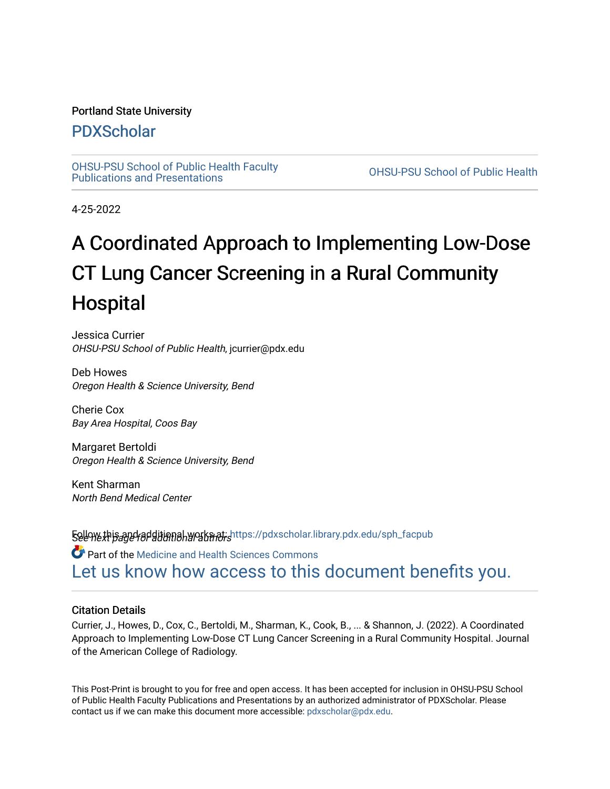### Portland State University

## [PDXScholar](https://pdxscholar.library.pdx.edu/)

[OHSU-PSU School of Public Health Faculty](https://pdxscholar.library.pdx.edu/sph_facpub) [Publications and Presentations](https://pdxscholar.library.pdx.edu/sph_facpub) [OHSU-PSU School of Public Health](https://pdxscholar.library.pdx.edu/sph) 

4-25-2022

## A Coordinated Approach to Implementing Low-Dose CT Lung Cancer Screening in a Rural Community Hospital

Jessica Currier OHSU-PSU School of Public Health, jcurrier@pdx.edu

Deb Howes Oregon Health & Science University, Bend

Cherie Cox Bay Area Hospital, Coos Bay

Margaret Bertoldi Oregon Health & Science University, Bend

Kent Sharman North Bend Medical Center

**Follow this and additional works at: h**ttps://pdxscholar.library.pdx.edu/sph\_facpub<br>**See we***xt page for* **ditional works at:** Part of the [Medicine and Health Sciences Commons](http://network.bepress.com/hgg/discipline/648?utm_source=pdxscholar.library.pdx.edu%2Fsph_facpub%2F488&utm_medium=PDF&utm_campaign=PDFCoverPages)  [Let us know how access to this document benefits you.](http://library.pdx.edu/services/pdxscholar-services/pdxscholar-feedback/?ref=https://pdxscholar.library.pdx.edu/sph_facpub/488) 

### Citation Details

Currier, J., Howes, D., Cox, C., Bertoldi, M., Sharman, K., Cook, B., ... & Shannon, J. (2022). A Coordinated Approach to Implementing Low-Dose CT Lung Cancer Screening in a Rural Community Hospital. Journal of the American College of Radiology.

This Post-Print is brought to you for free and open access. It has been accepted for inclusion in OHSU-PSU School of Public Health Faculty Publications and Presentations by an authorized administrator of PDXScholar. Please contact us if we can make this document more accessible: [pdxscholar@pdx.edu](mailto:pdxscholar@pdx.edu).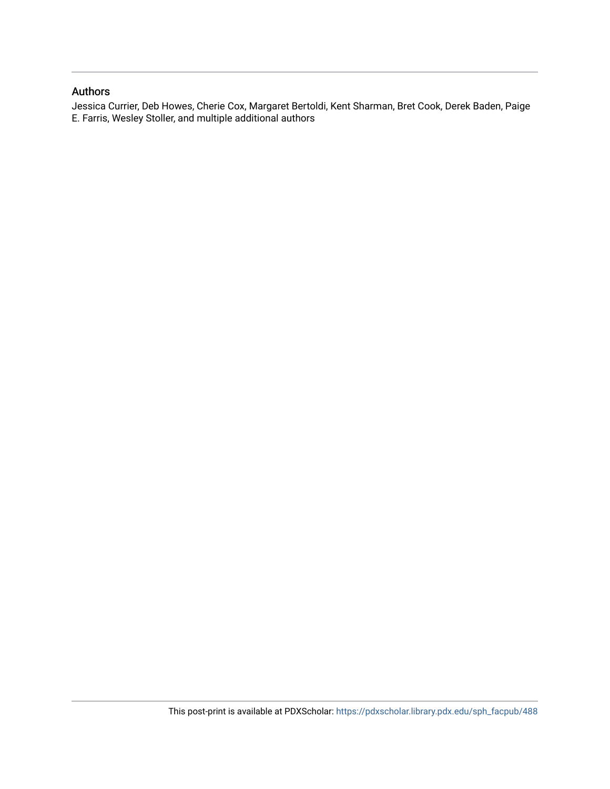### Authors

Jessica Currier, Deb Howes, Cherie Cox, Margaret Bertoldi, Kent Sharman, Bret Cook, Derek Baden, Paige E. Farris, Wesley Stoller, and multiple additional authors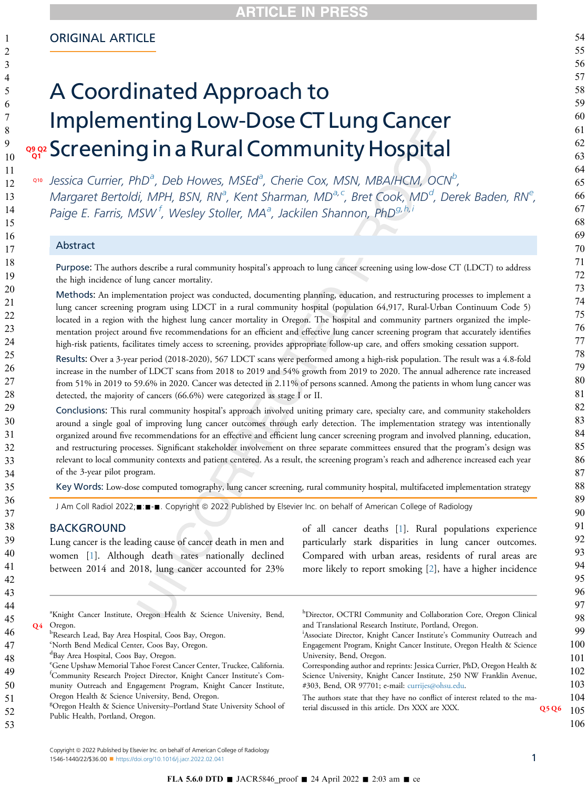### ORIGINAL ARTICLE

# A Coordinated Approach to Implementing Low-Dose CT Lung Cancer ९९२ Screening in a Rural Community Hospital

[a](#page-2-0)10 Jessica Currier, PhD<sup>a</sup>, De[b](#page-2-1) Howes, MSEd<sup>a</sup>, Cherie Cox, MSN, MBA/HCM, OCN<sup>b</sup>, M[a](#page-2-0)rgaret Bertoldi, MPH, BSN, RNª, Kent Sharman, MDª<sup>, [c](#page-2-2)</sup>, Bret Cook, MD<sup>[d](#page-2-3)</sup>, D[e](#page-2-4)rek Baden, RNª, Paige E. Farris, MSW <sup>[f](#page-2-5)</sup>, Wesley Stoller, MA<sup>[a](#page-2-0)</sup>, Jackilen Shannon, PhD<sup>[g,](#page-2-6)[h,](#page-2-7)[i](#page-2-8)</sup>

#### Abstract

Purpose: The authors describe a rural community hospital's approach to lung cancer screening using low-dose CT (LDCT) to address the high incidence of lung cancer mortality.

Methods: An implementation project was conducted, documenting planning, education, and restructuring processes to implement a lung cancer screening program using LDCT in a rural community hospital (population 64,917, Rural-Urban Continuum Code 5) located in a region with the highest lung cancer mortality in Oregon. The hospital and community partners organized the implementation project around five recommendations for an efficient and effective lung cancer screening program that accurately identifies high-risk patients, facilitates timely access to screening, provides appropriate follow-up care, and offers smoking cessation support.

Results: Over a 3-year period (2018-2020), 567 LDCT scans were performed among a high-risk population. The result was a 4.8-fold increase in the number of LDCT scans from 2018 to 2019 and 54% growth from 2019 to 2020. The annual adherence rate increased from 51% in 2019 to 59.6% in 2020. Cancer was detected in 2.11% of persons scanned. Among the patients in whom lung cancer was detected, the majority of cancers (66.6%) were categorized as stage I or II.

Conclusions: This rural community hospital's approach involved uniting primary care, specialty care, and community stakeholders around a single goal of improving lung cancer outcomes through early detection. The implementation strategy was intentionally organized around five recommendations for an effective and efficient lung cancer screening program and involved planning, education, and restructuring processes. Significant stakeholder involvement on three separate committees ensured that the program's design was relevant to local community contexts and patient centered. As a result, the screening program's reach and adherence increased each year of the 3-year pilot program.

Key Words: Low-dose computed tomography, lung cancer screening, rural community hospital, multifaceted implementation strategy

J Am Coll Radiol 2022; : - - . Copyright @ 2022 Published by Elsevier Inc. on behalf of American College of Radiology

### BACKGROUND

Lung cancer is the leading cause of cancer death in men and women [[1\]](#page-11-0). Although death rates nationally declined between 2014 and 2018, lung cancer accounted for 23%

<span id="page-2-8"></span><span id="page-2-7"></span>of all cancer deaths [[1\]](#page-11-0). Rural populations experience particularly stark disparities in lung cancer outcomes. Compared with urban areas, residents of rural areas are more likely to report smoking [\[2](#page-11-1)], have a higher incidence

<span id="page-2-3"></span><span id="page-2-2"></span><span id="page-2-1"></span><span id="page-2-0"></span>

| <sup>a</sup> Knight Cancer Institute, Oregon Health & Science University, Bend,<br>Oregon.<br><b>O4</b><br><sup>b</sup> Research Lead, Bay Area Hospital, Coos Bay, Oregon. | <sup>h</sup> Director, OCTRI Community and Collaboration Core, Oregon Clinical<br>and Translational Research Institute, Portland, Oregon.<br><sup>1</sup> Associate Director, Knight Cancer Institute's Community Outreach and |  |
|-----------------------------------------------------------------------------------------------------------------------------------------------------------------------------|--------------------------------------------------------------------------------------------------------------------------------------------------------------------------------------------------------------------------------|--|
| <sup>c</sup> North Bend Medical Center, Coos Bay, Oregon.                                                                                                                   | Engagement Program, Knight Cancer Institute, Oregon Health & Science                                                                                                                                                           |  |
| <sup>d</sup> Bay Area Hospital, Coos Bay, Oregon.                                                                                                                           | University, Bend, Oregon.                                                                                                                                                                                                      |  |
| <sup>e</sup> Gene Upshaw Memorial Tahoe Forest Cancer Center, Truckee, California.<br><sup>t</sup> Community Research Project Director, Knight Cancer Institute's Com-      | Corresponding author and reprints: Jessica Currier, PhD, Oregon Health &<br>Science University, Knight Cancer Institute, 250 NW Franklin Avenue,                                                                               |  |
| munity Outreach and Engagement Program, Knight Cancer Institute,                                                                                                            | #303, Bend, OR 97701; e-mail: currijes@ohsu.edu.                                                                                                                                                                               |  |
| Oregon Health & Science University, Bend, Oregon.                                                                                                                           | The authors state that they have no conflict of interest related to the ma-                                                                                                                                                    |  |
| <sup>8</sup> Oregon Health & Science University-Portland State University School of<br>Public Health, Portland, Oregon.                                                     | terial discussed in this article. Drs XXX are XXX.<br>Q5Q6                                                                                                                                                                     |  |
|                                                                                                                                                                             |                                                                                                                                                                                                                                |  |

<span id="page-2-6"></span>Copyright © 2022 Published by Elsevier Inc. on behalf of American College of Radiology 1546-1440/22/\$36.00 <sup>n</sup> <https://doi.org/10.1016/j.jacr.2022.02.041> 1

<span id="page-2-5"></span><span id="page-2-4"></span>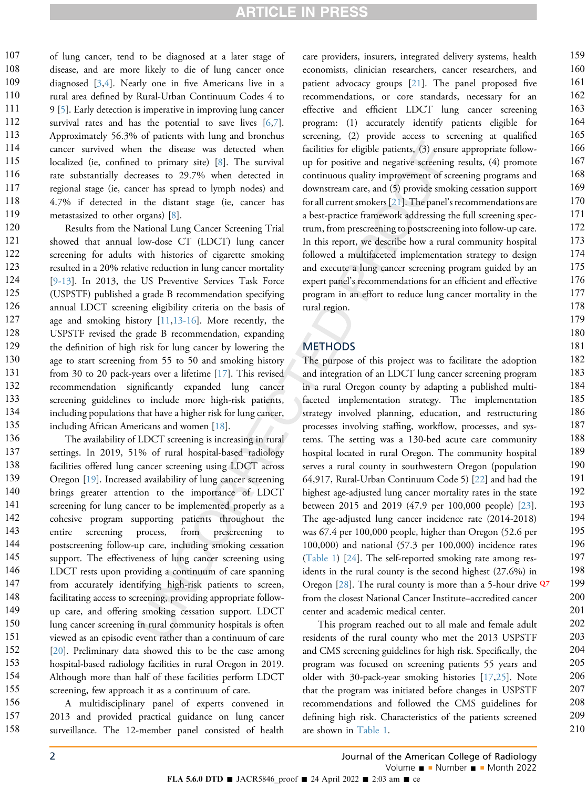of lung cancer, tend to be diagnosed at a later stage of disease, and are more likely to die of lung cancer once diagnosed [\[3](#page-11-2),[4](#page-11-3)]. Nearly one in five Americans live in a rural area defined by Rural-Urban Continuum Codes 4 to 9 [\[5](#page-11-4)]. Early detection is imperative in improving lung cancer survival rates and has the potential to save lives  $[6,7]$  $[6,7]$  $[6,7]$  $[6,7]$ . Approximately 56.3% of patients with lung and bronchus cancer survived when the disease was detected when localized (ie, confined to primary site) [[8\]](#page-12-1). The survival rate substantially decreases to 29.7% when detected in regional stage (ie, cancer has spread to lymph nodes) and 4.7% if detected in the distant stage (ie, cancer has metastasized to other organs) [\[8](#page-12-1)]. 107 108 109 110 111 112 113 114 115 116 117 118 119

Results from the National Lung Cancer Screening Trial showed that annual low-dose CT (LDCT) lung cancer screening for adults with histories of cigarette smoking resulted in a 20% relative reduction in lung cancer mortality [[9-13](#page-12-2)]. In 2013, the US Preventive Services Task Force (USPSTF) published a grade B recommendation specifying annual LDCT screening eligibility criteria on the basis of age and smoking history [\[11](#page-12-3),[13-16\]](#page-12-4). More recently, the USPSTF revised the grade B recommendation, expanding the definition of high risk for lung cancer by lowering the age to start screening from 55 to 50 and smoking history from 30 to 20 pack-years over a lifetime [\[17](#page-12-5)]. This revised recommendation significantly expanded lung cancer screening guidelines to include more high-risk patients, including populations that have a higher risk for lung cancer, including African Americans and women [[18\]](#page-12-6). 120 121 122 123 124 125 126 127 128 129 130 131 132 133 134 135

The availability of LDCT screening is increasing in rural settings. In 2019, 51% of rural hospital-based radiology facilities offered lung cancer screening using LDCT across Oregon [\[19](#page-12-7)]. Increased availability of lung cancer screening brings greater attention to the importance of LDCT screening for lung cancer to be implemented properly as a cohesive program supporting patients throughout the entire screening process, from prescreening to postscreening follow-up care, including smoking cessation support. The effectiveness of lung cancer screening using LDCT rests upon providing a continuum of care spanning from accurately identifying high-risk patients to screen, facilitating access to screening, providing appropriate followup care, and offering smoking cessation support. LDCT lung cancer screening in rural community hospitals is often viewed as an episodic event rather than a continuum of care [[20](#page-12-8)]. Preliminary data showed this to be the case among hospital-based radiology facilities in rural Oregon in 2019. Although more than half of these facilities perform LDCT screening, few approach it as a continuum of care. 136 137 138 139 140 141 142 143 144 145 146 147 148 149 150 151 152 153 154 155 156

A multidisciplinary panel of experts convened in 2013 and provided practical guidance on lung cancer surveillance. The 12-member panel consisted of health care providers, insurers, integrated delivery systems, health economists, clinician researchers, cancer researchers, and patient advocacy groups [[21\]](#page-12-9). The panel proposed five recommendations, or core standards, necessary for an effective and efficient LDCT lung cancer screening program: (1) accurately identify patients eligible for screening, (2) provide access to screening at qualified facilities for eligible patients, (3) ensure appropriate followup for positive and negative screening results, (4) promote continuous quality improvement of screening programs and downstream care, and (5) provide smoking cessation support for all current smokers [\[21](#page-12-9)]. The panel's recommendations are a best-practice framework addressing the full screening spectrum, from prescreening to postscreening into follow-up care. In this report, we describe how a rural community hospital followed a multifaceted implementation strategy to design and execute a lung cancer screening program guided by an expert panel's recommendations for an efficient and effective program in an effort to reduce lung cancer mortality in the rural region.

### **METHODS**

The purpose of this project was to facilitate the adoption and integration of an LDCT lung cancer screening program in a rural Oregon county by adapting a published multifaceted implementation strategy. The implementation strategy involved planning, education, and restructuring processes involving staffing, workflow, processes, and systems. The setting was a 130-bed acute care community hospital located in rural Oregon. The community hospital serves a rural county in southwestern Oregon (population 64,917, Rural-Urban Continuum Code 5) [\[22\]](#page-12-10) and had the highest age-adjusted lung cancer mortality rates in the state between 2015 and 2019 (47.9 per 100,000 people) [\[23](#page-12-11)]. The age-adjusted lung cancer incidence rate (2014-2018) was 67.4 per 100,000 people, higher than Oregon (52.6 per 100,000) and national (57.3 per 100,000) incidence rates [\(Table 1\)](#page-4-0) [\[24](#page-12-12)]. The self-reported smoking rate among residents in the rural county is the second highest (27.6%) in Oregon [[28\]](#page-12-13). The rural county is more than a 5-hour drive  $\mathbf{Q}^7$ from the closest National Cancer Institute–accredited cancer center and academic medical center.

This program reached out to all male and female adult residents of the rural county who met the 2013 USPSTF and CMS screening guidelines for high risk. Specifically, the program was focused on screening patients 55 years and older with 30-pack-year smoking histories [[17,](#page-12-5)[25](#page-12-14)]. Note that the program was initiated before changes in USPSTF recommendations and followed the CMS guidelines for defining high risk. Characteristics of the patients screened are shown in [Table 1.](#page-4-0)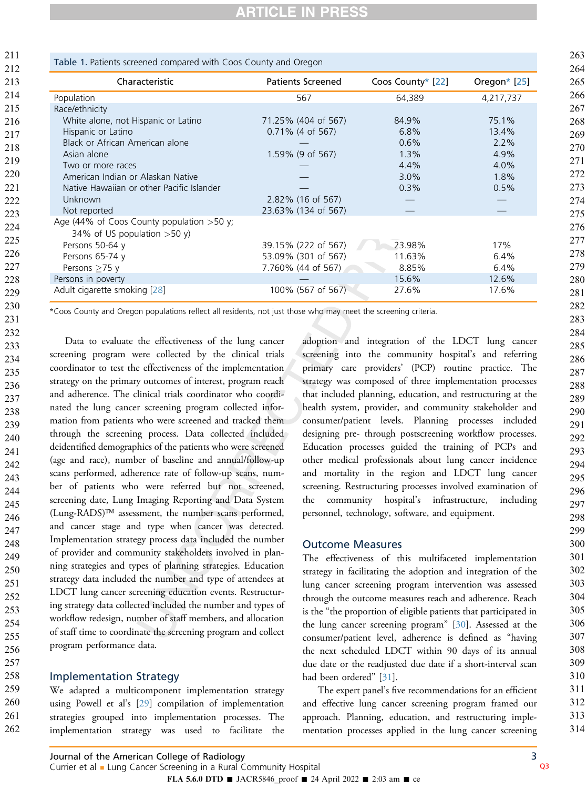<span id="page-4-0"></span>

| Characteristic                                                                | <b>Patients Screened</b> | Coos County* [22] | Oregon $*$ [25] |  |
|-------------------------------------------------------------------------------|--------------------------|-------------------|-----------------|--|
| Population                                                                    | 567                      | 64,389            | 4,217,737       |  |
| Race/ethnicity                                                                |                          |                   |                 |  |
| White alone, not Hispanic or Latino                                           | 71.25% (404 of 567)      | 84.9%             | 75.1%           |  |
| Hispanic or Latino                                                            | $0.71\%$ (4 of 567)      | 6.8%              | 13.4%           |  |
| Black or African American alone                                               |                          | 0.6%              | 2.2%            |  |
| Asian alone                                                                   | 1.59% (9 of 567)         | 1.3%              | 4.9%            |  |
| Two or more races                                                             |                          | 4.4%              | 4.0%            |  |
| American Indian or Alaskan Native                                             |                          | 3.0%              | 1.8%            |  |
| Native Hawaiian or other Pacific Islander                                     |                          | 0.3%              | 0.5%            |  |
| Unknown                                                                       | 2.82% (16 of 567)        |                   |                 |  |
| Not reported                                                                  | 23.63% (134 of 567)      |                   |                 |  |
| Age (44% of Coos County population $>50$ y;<br>34% of US population $>50 y$ ) |                          |                   |                 |  |
| Persons 50-64 y                                                               | 39.15% (222 of 567)      | 23.98%            | 17%             |  |
| Persons 65-74 y                                                               | 53.09% (301 of 567)      | 11.63%            | 6.4%            |  |
| Persons $\geq$ 75 y                                                           | 7.760% (44 of 567)       | 8.85%             | 6.4%            |  |
| Persons in poverty                                                            |                          | 15.6%             | 12.6%           |  |
| Adult cigarette smoking [28]                                                  | 100% (567 of 567)        | 27.6%             | 17.6%           |  |

<span id="page-4-1"></span>\*Coos County and Oregon populations reflect all residents, not just those who may meet the screening criteria.

Data to evaluate the effectiveness of the lung cancer screening program were collected by the clinical trials coordinator to test the effectiveness of the implementation strategy on the primary outcomes of interest, program reach and adherence. The clinical trials coordinator who coordinated the lung cancer screening program collected information from patients who were screened and tracked them through the screening process. Data collected included deidentified demographics of the patients who were screened (age and race), number of baseline and annual/follow-up scans performed, adherence rate of follow-up scans, number of patients who were referred but not screened, screening date, Lung Imaging Reporting and Data System (Lung-RADS)- assessment, the number scans performed, and cancer stage and type when cancer was detected. Implementation strategy process data included the number of provider and community stakeholders involved in planning strategies and types of planning strategies. Education strategy data included the number and type of attendees at LDCT lung cancer screening education events. Restructuring strategy data collected included the number and types of workflow redesign, number of staff members, and allocation of staff time to coordinate the screening program and collect program performance data.

#### Implementation Strategy

We adapted a multicomponent implementation strategy using Powell et al's [[29\]](#page-12-15) compilation of implementation strategies grouped into implementation processes. The implementation strategy was used to facilitate the adoption and integration of the LDCT lung cancer screening into the community hospital's and referring primary care providers' (PCP) routine practice. The strategy was composed of three implementation processes that included planning, education, and restructuring at the health system, provider, and community stakeholder and consumer/patient levels. Planning processes included designing pre- through postscreening workflow processes. Education processes guided the training of PCPs and other medical professionals about lung cancer incidence and mortality in the region and LDCT lung cancer screening. Restructuring processes involved examination of the community hospital's infrastructure, including personnel, technology, software, and equipment.

#### Outcome Measures

The effectiveness of this multifaceted implementation strategy in facilitating the adoption and integration of the lung cancer screening program intervention was assessed through the outcome measures reach and adherence. Reach is the "the proportion of eligible patients that participated in the lung cancer screening program" [\[30](#page-12-16)]. Assessed at the consumer/patient level, adherence is defined as "having the next scheduled LDCT within 90 days of its annual due date or the readjusted due date if a short-interval scan had been ordered" [\[31](#page-12-17)].

The expert panel's five recommendations for an efficient and effective lung cancer screening program framed our approach. Planning, education, and restructuring implementation processes applied in the lung cancer screening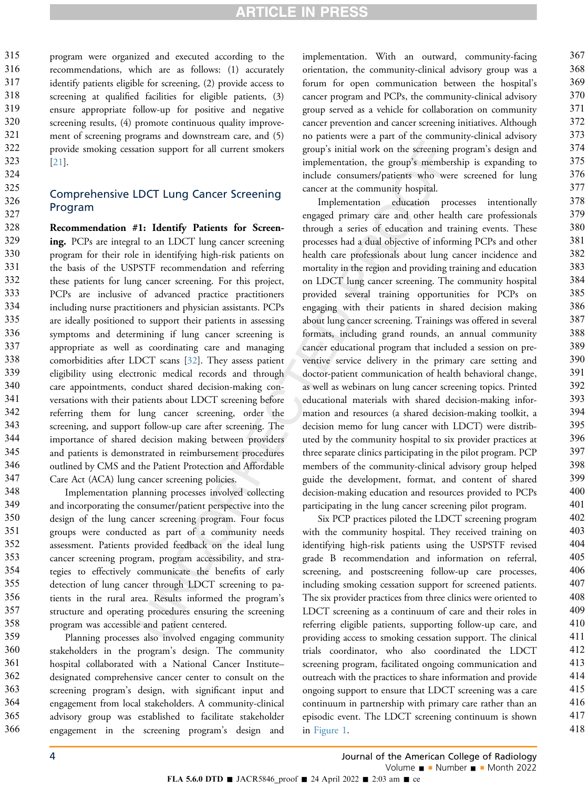program were organized and executed according to the recommendations, which are as follows: (1) accurately identify patients eligible for screening, (2) provide access to screening at qualified facilities for eligible patients, (3) ensure appropriate follow-up for positive and negative screening results, (4) promote continuous quality improvement of screening programs and downstream care, and (5) provide smoking cessation support for all current smokers [[21](#page-12-9)].

### Comprehensive LDCT Lung Cancer Screening Program

Recommendation #1: Identify Patients for Screening. PCPs are integral to an LDCT lung cancer screening program for their role in identifying high-risk patients on the basis of the USPSTF recommendation and referring these patients for lung cancer screening. For this project, PCPs are inclusive of advanced practice practitioners including nurse practitioners and physician assistants. PCPs are ideally positioned to support their patients in assessing symptoms and determining if lung cancer screening is appropriate as well as coordinating care and managing comorbidities after LDCT scans [[32\]](#page-12-18). They assess patient eligibility using electronic medical records and through care appointments, conduct shared decision-making conversations with their patients about LDCT screening before referring them for lung cancer screening, order the screening, and support follow-up care after screening. The importance of shared decision making between providers and patients is demonstrated in reimbursement procedures outlined by CMS and the Patient Protection and Affordable Care Act (ACA) lung cancer screening policies. 328 329 330 331 332 333 334 335 336 337 338 339 340 341 342 343 344 345 346 347

Implementation planning processes involved collecting and incorporating the consumer/patient perspective into the design of the lung cancer screening program. Four focus groups were conducted as part of a community needs assessment. Patients provided feedback on the ideal lung cancer screening program, program accessibility, and strategies to effectively communicate the benefits of early detection of lung cancer through LDCT screening to patients in the rural area. Results informed the program's structure and operating procedures ensuring the screening program was accessible and patient centered. 348 349 350 351 352 353 354 355 356 357 358

Planning processes also involved engaging community stakeholders in the program's design. The community hospital collaborated with a National Cancer Institute– designated comprehensive cancer center to consult on the screening program's design, with significant input and engagement from local stakeholders. A community-clinical advisory group was established to facilitate stakeholder engagement in the screening program's design and 359 360 361 362 363 364 365 366

implementation. With an outward, community-facing orientation, the community-clinical advisory group was a forum for open communication between the hospital's cancer program and PCPs, the community-clinical advisory group served as a vehicle for collaboration on community cancer prevention and cancer screening initiatives. Although no patients were a part of the community-clinical advisory group's initial work on the screening program's design and implementation, the group's membership is expanding to include consumers/patients who were screened for lung cancer at the community hospital.

Implementation education processes intentionally engaged primary care and other health care professionals through a series of education and training events. These processes had a dual objective of informing PCPs and other health care professionals about lung cancer incidence and mortality in the region and providing training and education on LDCT lung cancer screening. The community hospital provided several training opportunities for PCPs on engaging with their patients in shared decision making about lung cancer screening. Trainings was offered in several formats, including grand rounds, an annual community cancer educational program that included a session on preventive service delivery in the primary care setting and doctor-patient communication of health behavioral change, as well as webinars on lung cancer screening topics. Printed educational materials with shared decision-making information and resources (a shared decision-making toolkit, a decision memo for lung cancer with LDCT) were distributed by the community hospital to six provider practices at three separate clinics participating in the pilot program. PCP members of the community-clinical advisory group helped guide the development, format, and content of shared decision-making education and resources provided to PCPs participating in the lung cancer screening pilot program.

Six PCP practices piloted the LDCT screening program with the community hospital. They received training on identifying high-risk patients using the USPSTF revised grade B recommendation and information on referral, screening, and postscreening follow-up care processes, including smoking cessation support for screened patients. The six provider practices from three clinics were oriented to LDCT screening as a continuum of care and their roles in referring eligible patients, supporting follow-up care, and providing access to smoking cessation support. The clinical trials coordinator, who also coordinated the LDCT screening program, facilitated ongoing communication and outreach with the practices to share information and provide ongoing support to ensure that LDCT screening was a care continuum in partnership with primary care rather than an episodic event. The LDCT screening continuum is shown in [Figure 1.](#page-6-0)

4 Journal of the American College of Radiology Volume  $\blacksquare$  - Number  $\blacksquare$  - Month 2022

FLA 5.6.0 DTD  $\blacksquare$  JACR5846\_proof  $\blacksquare$  24 April 2022  $\blacksquare$  2:03 am  $\blacksquare$  ce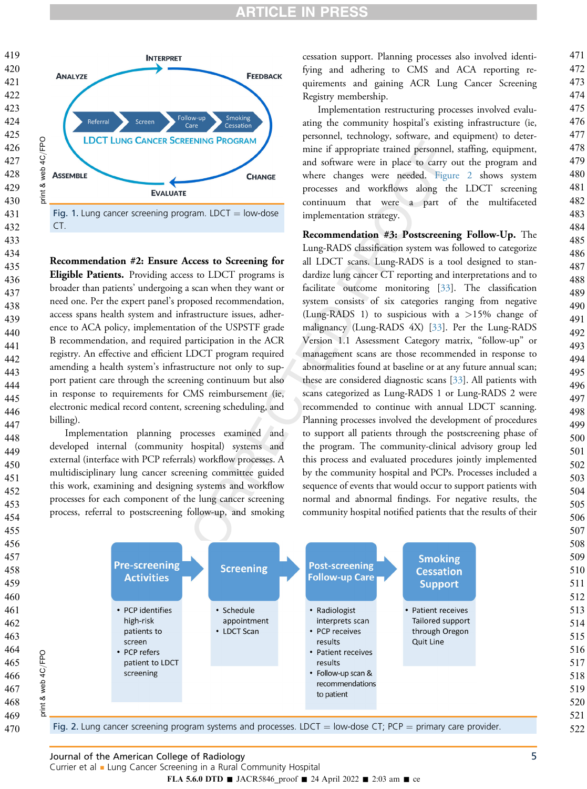

 

<span id="page-6-0"></span>

Fig. 1. Lung cancer screening program. LDCT  $=$  low-dose CT.

Recommendation #2: Ensure Access to Screening for Eligible Patients. Providing access to LDCT programs is broader than patients' undergoing a scan when they want or need one. Per the expert panel's proposed recommendation, access spans health system and infrastructure issues, adherence to ACA policy, implementation of the USPSTF grade B recommendation, and required participation in the ACR registry. An effective and efficient LDCT program required amending a health system's infrastructure not only to support patient care through the screening continuum but also in response to requirements for CMS reimbursement (ie, electronic medical record content, screening scheduling, and billing).

Implementation planning processes examined and developed internal (community hospital) systems and external (interface with PCP referrals) workflow processes. A multidisciplinary lung cancer screening committee guided this work, examining and designing systems and workflow processes for each component of the lung cancer screening process, referral to postscreening follow-up, and smoking

cessation support. Planning processes also involved identifying and adhering to CMS and ACA reporting requirements and gaining ACR Lung Cancer Screening Registry membership.

Implementation restructuring processes involved evaluating the community hospital's existing infrastructure (ie, personnel, technology, software, and equipment) to determine if appropriate trained personnel, staffing, equipment, and software were in place to carry out the program and where changes were needed. [Figure 2](#page-6-1) shows system processes and workflows along the LDCT screening continuum that were a part of the multifaceted implementation strategy.

Recommendation #3: Postscreening Follow-Up. The Lung-RADS classification system was followed to categorize all LDCT scans. Lung-RADS is a tool designed to standardize lung cancer CT reporting and interpretations and to facilitate outcome monitoring [\[33](#page-12-19)]. The classification system consists of six categories ranging from negative (Lung-RADS 1) to suspicious with a  $>15\%$  change of malignancy (Lung-RADS 4X) [\[33](#page-12-19)]. Per the Lung-RADS Version 1.1 Assessment Category matrix, "follow-up" or management scans are those recommended in response to abnormalities found at baseline or at any future annual scan; these are considered diagnostic scans [\[33](#page-12-19)]. All patients with scans categorized as Lung-RADS 1 or Lung-RADS 2 were recommended to continue with annual LDCT scanning. Planning processes involved the development of procedures to support all patients through the postscreening phase of the program. The community-clinical advisory group led this process and evaluated procedures jointly implemented by the community hospital and PCPs. Processes included a sequence of events that would occur to support patients with normal and abnormal findings. For negative results, the community hospital notified patients that the results of their

<span id="page-6-1"></span>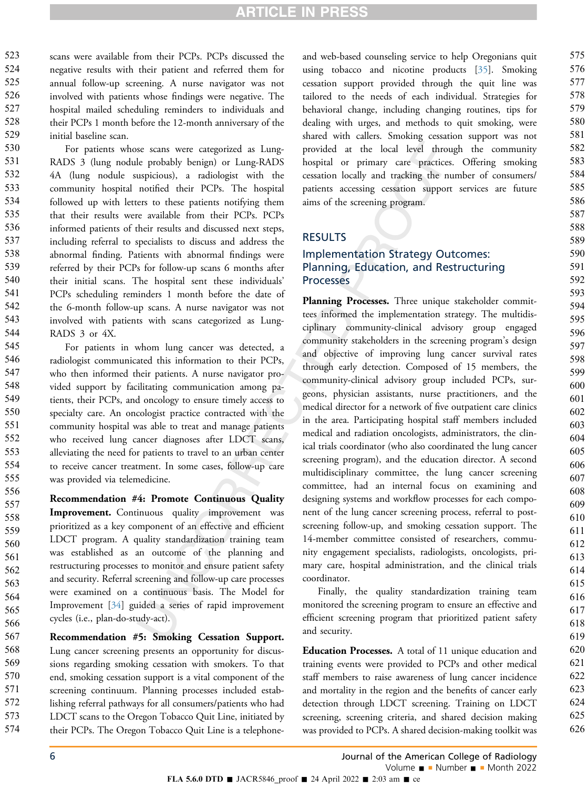scans were available from their PCPs. PCPs discussed the negative results with their patient and referred them for annual follow-up screening. A nurse navigator was not involved with patients whose findings were negative. The hospital mailed scheduling reminders to individuals and their PCPs 1 month before the 12-month anniversary of the initial baseline scan. 523 524 525 526 527 528 529

For patients whose scans were categorized as Lung-RADS 3 (lung nodule probably benign) or Lung-RADS 4A (lung nodule suspicious), a radiologist with the community hospital notified their PCPs. The hospital followed up with letters to these patients notifying them that their results were available from their PCPs. PCPs informed patients of their results and discussed next steps, including referral to specialists to discuss and address the abnormal finding. Patients with abnormal findings were referred by their PCPs for follow-up scans 6 months after their initial scans. The hospital sent these individuals' PCPs scheduling reminders 1 month before the date of the 6-month follow-up scans. A nurse navigator was not involved with patients with scans categorized as Lung-RADS 3 or 4X. 530 531 532 533 534 535 536 537 538 539 540 541 542 543 544

For patients in whom lung cancer was detected, a radiologist communicated this information to their PCPs, who then informed their patients. A nurse navigator provided support by facilitating communication among patients, their PCPs, and oncology to ensure timely access to specialty care. An oncologist practice contracted with the community hospital was able to treat and manage patients who received lung cancer diagnoses after LDCT scans, alleviating the need for patients to travel to an urban center to receive cancer treatment. In some cases, follow-up care was provided via telemedicine. 545 546 547 548 549 550 551 552 553 554 555

Recommendation #4: Promote Continuous Quality Improvement. Continuous quality improvement was prioritized as a key component of an effective and efficient LDCT program. A quality standardization training team was established as an outcome of the planning and restructuring processes to monitor and ensure patient safety and security. Referral screening and follow-up care processes were examined on a continuous basis. The Model for Improvement [\[34\]](#page-12-20) guided a series of rapid improvement cycles (i.e., plan-do-study-act). 556 557 558 559 560 561 562 563 564 565 566

Recommendation #5: Smoking Cessation Support. Lung cancer screening presents an opportunity for discussions regarding smoking cessation with smokers. To that end, smoking cessation support is a vital component of the screening continuum. Planning processes included establishing referral pathways for all consumers/patients who had LDCT scans to the Oregon Tobacco Quit Line, initiated by their PCPs. The Oregon Tobacco Quit Line is a telephone-567 568 569 570 571 572 573 574

and web-based counseling service to help Oregonians quit using tobacco and nicotine products [\[35](#page-12-21)]. Smoking cessation support provided through the quit line was tailored to the needs of each individual. Strategies for behavioral change, including changing routines, tips for dealing with urges, and methods to quit smoking, were shared with callers. Smoking cessation support was not provided at the local level through the community hospital or primary care practices. Offering smoking cessation locally and tracking the number of consumers/ patients accessing cessation support services are future aims of the screening program.

### RESULTS

### Implementation Strategy Outcomes: Planning, Education, and Restructuring **Processes**

Planning Processes. Three unique stakeholder committees informed the implementation strategy. The multidisciplinary community-clinical advisory group engaged community stakeholders in the screening program's design and objective of improving lung cancer survival rates through early detection. Composed of 15 members, the community-clinical advisory group included PCPs, surgeons, physician assistants, nurse practitioners, and the medical director for a network of five outpatient care clinics in the area. Participating hospital staff members included medical and radiation oncologists, administrators, the clinical trials coordinator (who also coordinated the lung cancer screening program), and the education director. A second multidisciplinary committee, the lung cancer screening committee, had an internal focus on examining and designing systems and workflow processes for each component of the lung cancer screening process, referral to postscreening follow-up, and smoking cessation support. The 14-member committee consisted of researchers, community engagement specialists, radiologists, oncologists, primary care, hospital administration, and the clinical trials coordinator.

Finally, the quality standardization training team monitored the screening program to ensure an effective and efficient screening program that prioritized patient safety and security.

Education Processes. A total of 11 unique education and training events were provided to PCPs and other medical staff members to raise awareness of lung cancer incidence and mortality in the region and the benefits of cancer early detection through LDCT screening. Training on LDCT screening, screening criteria, and shared decision making was provided to PCPs. A shared decision-making toolkit was

6 Journal of the American College of Radiology Volume  $\blacksquare$  - Number  $\blacksquare$  - Month 2022

FLA 5.6.0 DTD  $\blacksquare$  JACR5846\_proof  $\blacksquare$  24 April 2022  $\blacksquare$  2:03 am  $\blacksquare$  ce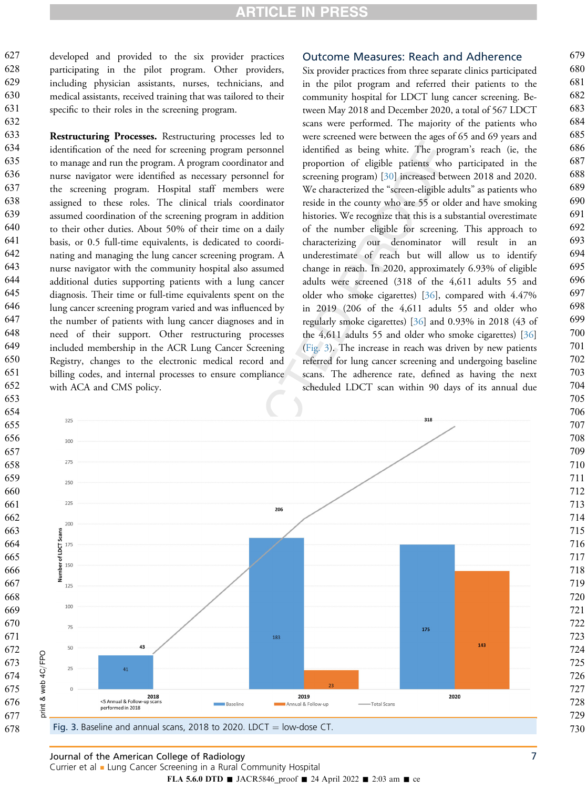developed and provided to the six provider practices participating in the pilot program. Other providers, including physician assistants, nurses, technicians, and medical assistants, received training that was tailored to their specific to their roles in the screening program. 

Restructuring Processes. Restructuring processes led to identification of the need for screening program personnel to manage and run the program. A program coordinator and nurse navigator were identified as necessary personnel for the screening program. Hospital staff members were assigned to these roles. The clinical trials coordinator assumed coordination of the screening program in addition to their other duties. About 50% of their time on a daily basis, or 0.5 full-time equivalents, is dedicated to coordinating and managing the lung cancer screening program. A nurse navigator with the community hospital also assumed additional duties supporting patients with a lung cancer diagnosis. Their time or full-time equivalents spent on the lung cancer screening program varied and was influenced by the number of patients with lung cancer diagnoses and in need of their support. Other restructuring processes included membership in the ACR Lung Cancer Screening Registry, changes to the electronic medical record and billing codes, and internal processes to ensure compliance with ACA and CMS policy. 

#### Outcome Measures: Reach and Adherence

Six provider practices from three separate clinics participated in the pilot program and referred their patients to the community hospital for LDCT lung cancer screening. Between May 2018 and December 2020, a total of 567 LDCT scans were performed. The majority of the patients who were screened were between the ages of 65 and 69 years and identified as being white. The program's reach (ie, the proportion of eligible patients who participated in the screening program) [[30\]](#page-12-16) increased between 2018 and 2020. We characterized the "screen-eligible adults" as patients who reside in the county who are 55 or older and have smoking histories. We recognize that this is a substantial overestimate of the number eligible for screening. This approach to characterizing our denominator will result in an underestimate of reach but will allow us to identify change in reach. In 2020, approximately 6.93% of eligible adults were screened (318 of the 4,611 adults 55 and older who smoke cigarettes) [\[36](#page-12-22)], compared with 4.47% in 2019 (206 of the 4,611 adults 55 and older who regularly smoke cigarettes) [[36\]](#page-12-22) and 0.93% in 2018 (43 of the 4,611 adults 55 and older who smoke cigarettes) [[36\]](#page-12-22) [\(Fig. 3](#page-8-0)). The increase in reach was driven by new patients referred for lung cancer screening and undergoing baseline scans. The adherence rate, defined as having the next scheduled LDCT scan within 90 days of its annual due

<span id="page-8-0"></span>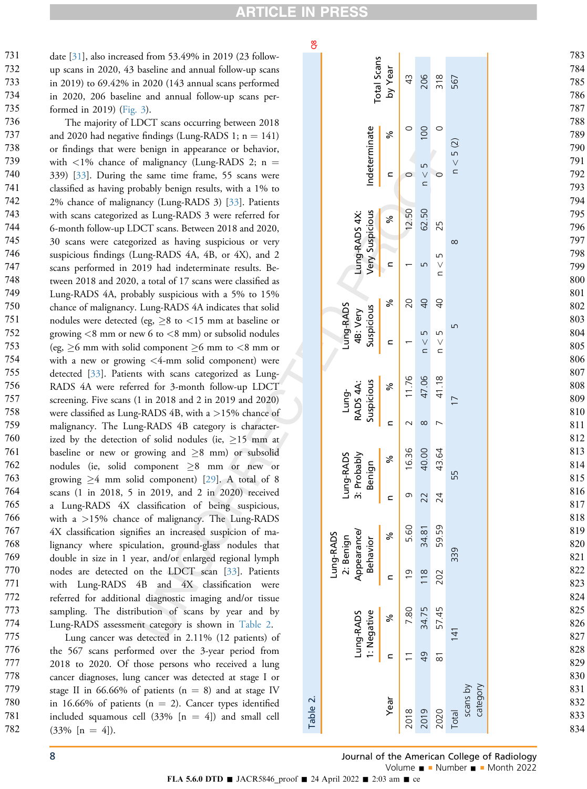**RTICLE I** 

#### 8O

date [[31\]](#page-12-17), also increased from 53.49% in 2019 (23 followup scans in 2020, 43 baseline and annual follow-up scans in 2019) to 69.42% in 2020 (143 annual scans performed in 2020, 206 baseline and annual follow-up scans performed in 2019) [\(Fig. 3](#page-8-0)). 732 734 735

731

733

The majority of LDCT scans occurring between 2018 and 2020 had negative findings (Lung-RADS 1;  $n = 141$ ) or findings that were benign in appearance or behavior, with  $\langle 1\%$  chance of malignancy (Lung-RADS 2; n = 339) [[33\]](#page-12-19). During the same time frame, 55 scans were classified as having probably benign results, with a 1% to 2% chance of malignancy (Lung-RADS 3) [[33\]](#page-12-19). Patients with scans categorized as Lung-RADS 3 were referred for 6-month follow-up LDCT scans. Between 2018 and 2020, 30 scans were categorized as having suspicious or very suspicious findings (Lung-RADS 4A, 4B, or 4X), and 2 scans performed in 2019 had indeterminate results. Between 2018 and 2020, a total of 17 scans were classified as Lung-RADS 4A, probably suspicious with a 5% to 15% chance of malignancy. Lung-RADS 4A indicates that solid nodules were detected (eg,  $\geq 8$  to <15 mm at baseline or growing  $<8$  mm or new 6 to  $<8$  mm) or subsolid nodules (eg,  $\geq 6$  mm with solid component  $\geq 6$  mm to <8 mm or with a new or growing <4-mm solid component) were detected [[33\]](#page-12-19). Patients with scans categorized as Lung-RADS 4A were referred for 3-month follow-up LDCT screening. Five scans (1 in 2018 and 2 in 2019 and 2020) were classified as Lung-RADS 4B, with a >15% chance of malignancy. The Lung-RADS 4B category is characterized by the detection of solid nodules (ie,  $\geq$ 15 mm at baseline or new or growing and  $\geq 8$  mm) or subsolid nodules (ie, solid component  $\geq 8$  mm or new or growing  $\geq 4$  mm solid component) [[29\]](#page-12-15). A total of 8 scans (1 in 2018, 5 in 2019, and 2 in 2020) received a Lung-RADS 4X classification of being suspicious, with a >15% chance of malignancy. The Lung-RADS 4X classification signifies an increased suspicion of malignancy where spiculation, ground-glass nodules that double in size in 1 year, and/or enlarged regional lymph nodes are detected on the LDCT scan [[33\]](#page-12-19). Patients with Lung-RADS 4B and 4X classification were referred for additional diagnostic imaging and/or tissue sampling. The distribution of scans by year and by Lung-RADS assessment category is shown in [Table 2](#page-9-0). 736 737 738 739 740 741 742 743 744 745 746 747 748 749 750 751 752 753 754 755 756 757 758 759 760 761 762 763 764 765 766 767 768 769 770 771 772 773 774 775

Lung cancer was detected in 2.11% (12 patients) of the 567 scans performed over the 3-year period from 2018 to 2020. Of those persons who received a lung cancer diagnoses, lung cancer was detected at stage I or stage II in 66.66% of patients ( $n = 8$ ) and at stage IV in 16.66% of patients ( $n = 2$ ). Cancer types identified included squamous cell  $(33\%$  [n = 4]) and small cell  $(33\% \; [n = 4])$ .

<span id="page-9-0"></span>

| ဗီ            |                                                                                                              |                 |                 |                      |                         |                               | 783                      |
|---------------|--------------------------------------------------------------------------------------------------------------|-----------------|-----------------|----------------------|-------------------------|-------------------------------|--------------------------|
|               | <b>Total Scans</b><br>by Year                                                                                | $\frac{1}{4}$   | 206             | $\frac{8}{3}$        | 567                     | 784<br>785<br>786<br>787      |                          |
| Indeterminate |                                                                                                              | వ్              | $\circ$         | 100                  | $\circ$                 | n < 5(2)                      | 788<br>789<br>790        |
|               |                                                                                                              | C               | $\circ$         | n < 5                | $\circ$                 |                               | 791<br>792<br>793<br>794 |
|               | Lung-RADS 4X:<br>Very Suspicious                                                                             | వ్              | 12.50           | 62.50                | 25                      | $\infty$                      | 795<br>796<br>797        |
|               |                                                                                                              | ⊂               |                 | Б                    | LN<br>$\vee$            |                               | 798<br>799<br>800        |
|               | Lung-RADS<br>Suspicious<br>4B: Very<br>Suspicious<br>RADS 4A:<br>Lung-<br>Lung-RADS<br>3: Probably<br>Benign | వ్              | 20              | $\overline{Q}$<br>LN | $\overline{0}$<br>LN    | LN                            | 801<br>802<br>803<br>804 |
|               |                                                                                                              | $\subset$       |                 | $\vee$<br>$\subset$  | $\vee$<br>$\subset$     |                               | 805<br>806<br>807        |
|               |                                                                                                              | ৯               | 11.76           | 47.06                | 41.18                   | $\overline{1}$                | 808<br>809<br>810        |
|               |                                                                                                              | $\subset$<br>వ్ | $\sim$<br>16.36 | $\infty$<br>40.00    | $\overline{ }$<br>43.64 |                               | 811<br>812<br>813        |
|               |                                                                                                              | ⊂               | $\circ$         | 22                   | 24                      | 55                            | 814<br>815<br>816<br>817 |
|               | Appearance/<br>ung-RADS<br>2: Benign<br>Behavior                                                             | ℅               | 5.60            | 34.81                | 59.59                   |                               | 818<br>819<br>820        |
|               |                                                                                                              | C               | $\overline{0}$  | 118                  | 202                     | 339                           | 821<br>822<br>823<br>824 |
|               | : Negative<br>Lung-RADS                                                                                      | ಸಿ              | 7.80            | 34.75                | 57.45                   | 141                           | 825<br>826<br>827        |
|               |                                                                                                              | C               |                 | $\overline{6}$       | $\overline{\infty}$     |                               | 828<br>829<br>830        |
|               |                                                                                                              | Year            | 2018            | 2019                 | 2020                    | scans by<br>category<br>Total | 831<br>832<br>833<br>834 |

### 8 Journal of the American College of Radiology

834

FLA 5.6.0 DTD  $\blacksquare$  JACR5846\_proof  $\blacksquare$  24 April 2022  $\blacksquare$  2:03 am  $\blacksquare$  ce

Table 2.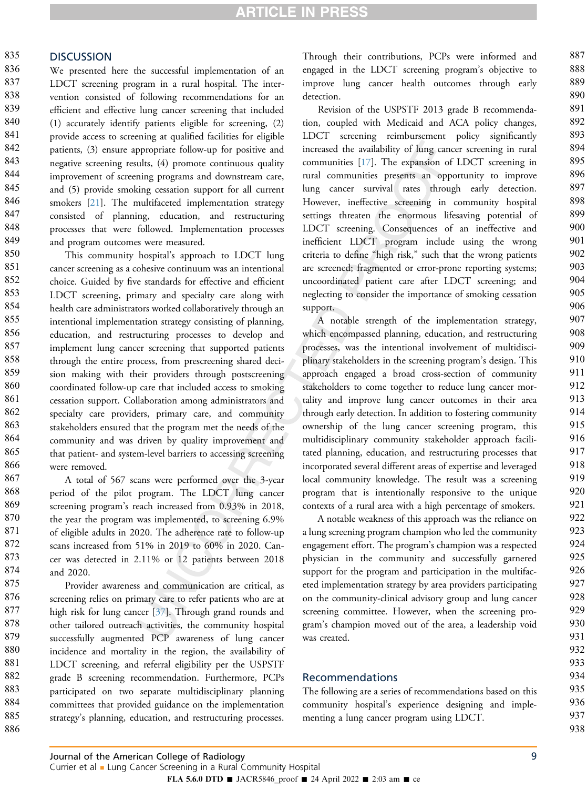#### **DISCUSSION** 835

We presented here the successful implementation of an LDCT screening program in a rural hospital. The intervention consisted of following recommendations for an efficient and effective lung cancer screening that included (1) accurately identify patients eligible for screening, (2) provide access to screening at qualified facilities for eligible patients, (3) ensure appropriate follow-up for positive and negative screening results, (4) promote continuous quality improvement of screening programs and downstream care, and (5) provide smoking cessation support for all current smokers [\[21](#page-12-9)]. The multifaceted implementation strategy consisted of planning, education, and restructuring processes that were followed. Implementation processes and program outcomes were measured. 836 837 838 839 840 841 842 843 844 845 846 847 848 849

This community hospital's approach to LDCT lung cancer screening as a cohesive continuum was an intentional choice. Guided by five standards for effective and efficient LDCT screening, primary and specialty care along with health care administrators worked collaboratively through an intentional implementation strategy consisting of planning, education, and restructuring processes to develop and implement lung cancer screening that supported patients through the entire process, from prescreening shared decision making with their providers through postscreening coordinated follow-up care that included access to smoking cessation support. Collaboration among administrators and specialty care providers, primary care, and community stakeholders ensured that the program met the needs of the community and was driven by quality improvement and that patient- and system-level barriers to accessing screening were removed. 850 851 852 853 854 855 856 857 858 859 860 861 862 863 864 865 866

A total of 567 scans were performed over the 3-year period of the pilot program. The LDCT lung cancer screening program's reach increased from 0.93% in 2018, the year the program was implemented, to screening 6.9% of eligible adults in 2020. The adherence rate to follow-up scans increased from 51% in 2019 to 60% in 2020. Cancer was detected in 2.11% or 12 patients between 2018 and 2020. 867 868 869 870 871 872 873 874

Provider awareness and communication are critical, as screening relies on primary care to refer patients who are at high risk for lung cancer [[37\]](#page-12-23). Through grand rounds and other tailored outreach activities, the community hospital successfully augmented PCP awareness of lung cancer incidence and mortality in the region, the availability of LDCT screening, and referral eligibility per the USPSTF grade B screening recommendation. Furthermore, PCPs participated on two separate multidisciplinary planning committees that provided guidance on the implementation strategy's planning, education, and restructuring processes. 875 876 877 878 879 880 881 882 883 884 885 886

Through their contributions, PCPs were informed and engaged in the LDCT screening program's objective to improve lung cancer health outcomes through early detection.

Revision of the USPSTF 2013 grade B recommendation, coupled with Medicaid and ACA policy changes, LDCT screening reimbursement policy significantly increased the availability of lung cancer screening in rural communities [\[17](#page-12-5)]. The expansion of LDCT screening in rural communities presents an opportunity to improve lung cancer survival rates through early detection. However, ineffective screening in community hospital settings threaten the enormous lifesaving potential of LDCT screening. Consequences of an ineffective and inefficient LDCT program include using the wrong criteria to define "high risk," such that the wrong patients are screened; fragmented or error-prone reporting systems; uncoordinated patient care after LDCT screening; and neglecting to consider the importance of smoking cessation support.

A notable strength of the implementation strategy, which encompassed planning, education, and restructuring processes, was the intentional involvement of multidisciplinary stakeholders in the screening program's design. This approach engaged a broad cross-section of community stakeholders to come together to reduce lung cancer mortality and improve lung cancer outcomes in their area through early detection. In addition to fostering community ownership of the lung cancer screening program, this multidisciplinary community stakeholder approach facilitated planning, education, and restructuring processes that incorporated several different areas of expertise and leveraged local community knowledge. The result was a screening program that is intentionally responsive to the unique contexts of a rural area with a high percentage of smokers.

A notable weakness of this approach was the reliance on a lung screening program champion who led the community engagement effort. The program's champion was a respected physician in the community and successfully garnered support for the program and participation in the multifaceted implementation strategy by area providers participating on the community-clinical advisory group and lung cancer screening committee. However, when the screening program's champion moved out of the area, a leadership void was created.

#### Recommendations

The following are a series of recommendations based on this community hospital's experience designing and implementing a lung cancer program using LDCT.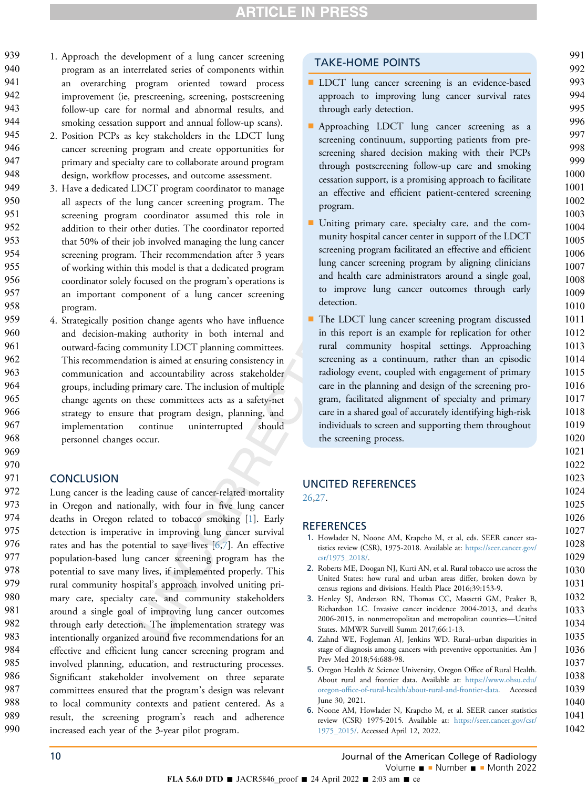- 1. Approach the development of a lung cancer screening program as an interrelated series of components within an overarching program oriented toward process improvement (ie, prescreening, screening, postscreening follow-up care for normal and abnormal results, and smoking cessation support and annual follow-up scans). 939 940 941 942 943 944
- 2. Position PCPs as key stakeholders in the LDCT lung cancer screening program and create opportunities for primary and specialty care to collaborate around program design, workflow processes, and outcome assessment. 945 946 947 948
- 3. Have a dedicated LDCT program coordinator to manage all aspects of the lung cancer screening program. The screening program coordinator assumed this role in addition to their other duties. The coordinator reported that 50% of their job involved managing the lung cancer screening program. Their recommendation after 3 years of working within this model is that a dedicated program coordinator solely focused on the program's operations is an important component of a lung cancer screening program. 949 950 951 952 953 954 955 956 957 958
- 4. Strategically position change agents who have influence and decision-making authority in both internal and outward-facing community LDCT planning committees. This recommendation is aimed at ensuring consistency in communication and accountability across stakeholder groups, including primary care. The inclusion of multiple change agents on these committees acts as a safety-net strategy to ensure that program design, planning, and implementation continue uninterrupted should personnel changes occur. 959 960 961 962 963 964 965 966 967 968

### **CONCLUSION**

969 970 971

Lung cancer is the leading cause of cancer-related mortality in Oregon and nationally, with four in five lung cancer deaths in Oregon related to tobacco smoking [[1\]](#page-11-0). Early detection is imperative in improving lung cancer survival rates and has the potential to save lives  $[6,7]$  $[6,7]$  $[6,7]$  $[6,7]$ . An effective population-based lung cancer screening program has the potential to save many lives, if implemented properly. This rural community hospital's approach involved uniting primary care, specialty care, and community stakeholders around a single goal of improving lung cancer outcomes through early detection. The implementation strategy was intentionally organized around five recommendations for an effective and efficient lung cancer screening program and involved planning, education, and restructuring processes. Significant stakeholder involvement on three separate committees ensured that the program's design was relevant to local community contexts and patient centered. As a result, the screening program's reach and adherence increased each year of the 3-year pilot program. 972 973 974 975 976 977 978 979 980 981 982 983 984 985 986 987 988 989 990

### TAKE-HOME POINTS

**n** LDCT lung cancer screening is an evidence-based approach to improving lung cancer survival rates through early detection.

- n Approaching LDCT lung cancer screening as a screening continuum, supporting patients from prescreening shared decision making with their PCPs through postscreening follow-up care and smoking cessation support, is a promising approach to facilitate an effective and efficient patient-centered screening program.
- n Uniting primary care, specialty care, and the community hospital cancer center in support of the LDCT screening program facilitated an effective and efficient lung cancer screening program by aligning clinicians and health care administrators around a single goal, to improve lung cancer outcomes through early detection.
- The LDCT lung cancer screening program discussed in this report is an example for replication for other rural community hospital settings. Approaching screening as a continuum, rather than an episodic radiology event, coupled with engagement of primary care in the planning and design of the screening program, facilitated alignment of specialty and primary care in a shared goal of accurately identifying high-risk individuals to screen and supporting them throughout the screening process.

### UNCITED REFERENCES

[26](#page-12-24)[,27](#page-12-25).

### <span id="page-11-0"></span>**REFERENCES**

- <span id="page-11-1"></span>1. Howlader N, Noone AM, Krapcho M, et al, eds. SEER cancer statistics review (CSR), 1975-2018. Available at: [https://seer.cancer.gov/](https://seer.cancer.gov/csr/1975_2018/) [csr/1975\\_2018/](https://seer.cancer.gov/csr/1975_2018/).
- <span id="page-11-2"></span>2. Roberts ME, Doogan NJ, Kurti AN, et al. Rural tobacco use across the United States: how rural and urban areas differ, broken down by census regions and divisions. Health Place 2016;39:153-9.
- 3. Henley SJ, Anderson RN, Thomas CC, Massetti GM, Peaker B, Richardson LC. Invasive cancer incidence 2004-2013, and deaths 2006-2015, in nonmetropolitan and metropolitan counties—United States. MMWR Surveill Summ 2017;66:1-13.
- <span id="page-11-4"></span><span id="page-11-3"></span>4. Zahnd WE, Fogleman AJ, Jenkins WD. Rural–urban disparities in stage of diagnosis among cancers with preventive opportunities. Am J Prev Med 2018;54:688-98.
- 5. Oregon Health & Science University, Oregon Office of Rural Health. About rural and frontier data. Available at: [https://www.ohsu.edu/](https://www.ohsu.edu/oregon-office-of-rural-health/about-rural-and-frontier-data) oregon-offi[ce-of-rural-health/about-rural-and-frontier-data](https://www.ohsu.edu/oregon-office-of-rural-health/about-rural-and-frontier-data). Accessed June 30, 2021.
- <span id="page-11-5"></span>6. Noone AM, Howlader N, Krapcho M, et al. SEER cancer statistics review (CSR) 1975-2015. Available at: [https://seer.cancer.gov/csr/](https://seer.cancer.gov/csr/1975_2015/) [1975\\_2015/](https://seer.cancer.gov/csr/1975_2015/). Accessed April 12, 2022.